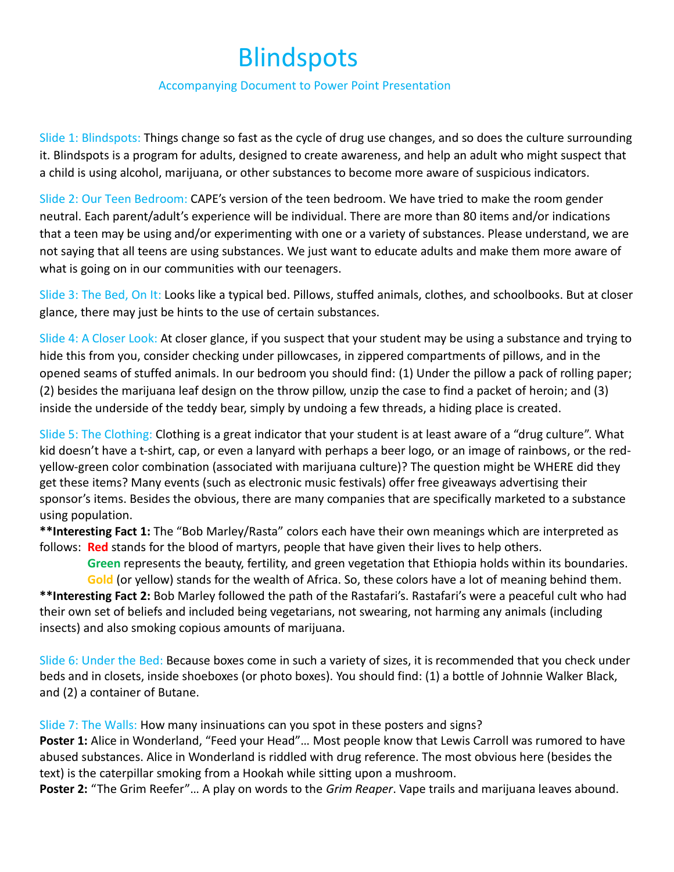# **Blindspots**

#### Accompanying Document to Power Point Presentation

Slide 1: Blindspots: Things change so fast as the cycle of drug use changes, and so does the culture surrounding it. Blindspots is a program for adults, designed to create awareness, and help an adult who might suspect that a child is using alcohol, marijuana, or other substances to become more aware of suspicious indicators.

Slide 2: Our Teen Bedroom: CAPE's version of the teen bedroom. We have tried to make the room gender neutral. Each parent/adult's experience will be individual. There are more than 80 items and/or indications that a teen may be using and/or experimenting with one or a variety of substances. Please understand, we are not saying that all teens are using substances. We just want to educate adults and make them more aware of what is going on in our communities with our teenagers.

Slide 3: The Bed, On It: Looks like a typical bed. Pillows, stuffed animals, clothes, and schoolbooks. But at closer glance, there may just be hints to the use of certain substances.

Slide 4: A Closer Look: At closer glance, if you suspect that your student may be using a substance and trying to hide this from you, consider checking under pillowcases, in zippered compartments of pillows, and in the opened seams of stuffed animals. In our bedroom you should find: (1) Under the pillow a pack of rolling paper; (2) besides the marijuana leaf design on the throw pillow, unzip the case to find a packet of heroin; and (3) inside the underside of the teddy bear, simply by undoing a few threads, a hiding place is created.

Slide 5: The Clothing: Clothing is a great indicator that your student is at least aware of a "drug culture". What kid doesn't have a t-shirt, cap, or even a lanyard with perhaps a beer logo, or an image of rainbows, or the redyellow-green color combination (associated with marijuana culture)? The question might be WHERE did they get these items? Many events (such as electronic music festivals) offer free giveaways advertising their sponsor's items. Besides the obvious, there are many companies that are specifically marketed to a substance using population.

**\*\*Interesting Fact 1:** The "Bob Marley/Rasta" colors each have their own meanings which are interpreted as follows: **Red** stands for the blood of martyrs, people that have given their lives to help others.

 **Green** represents the beauty, fertility, and green vegetation that Ethiopia holds within its boundaries. **Gold** (or yellow) stands for the wealth of Africa. So, these colors have a lot of meaning behind them. **\*\*Interesting Fact 2:** Bob Marley followed the path of the Rastafari's. Rastafari's were a peaceful cult who had

their own set of beliefs and included being vegetarians, not swearing, not harming any animals (including insects) and also smoking copious amounts of marijuana.

Slide 6: Under the Bed: Because boxes come in such a variety of sizes, it is recommended that you check under beds and in closets, inside shoeboxes (or photo boxes). You should find: (1) a bottle of Johnnie Walker Black, and (2) a container of Butane.

Slide 7: The Walls: How many insinuations can you spot in these posters and signs?

Poster 1: Alice in Wonderland, "Feed your Head"... Most people know that Lewis Carroll was rumored to have abused substances. Alice in Wonderland is riddled with drug reference. The most obvious here (besides the text) is the caterpillar smoking from a Hookah while sitting upon a mushroom.

**Poster 2:** "The Grim Reefer"… A play on words to the *Grim Reaper*. Vape trails and marijuana leaves abound.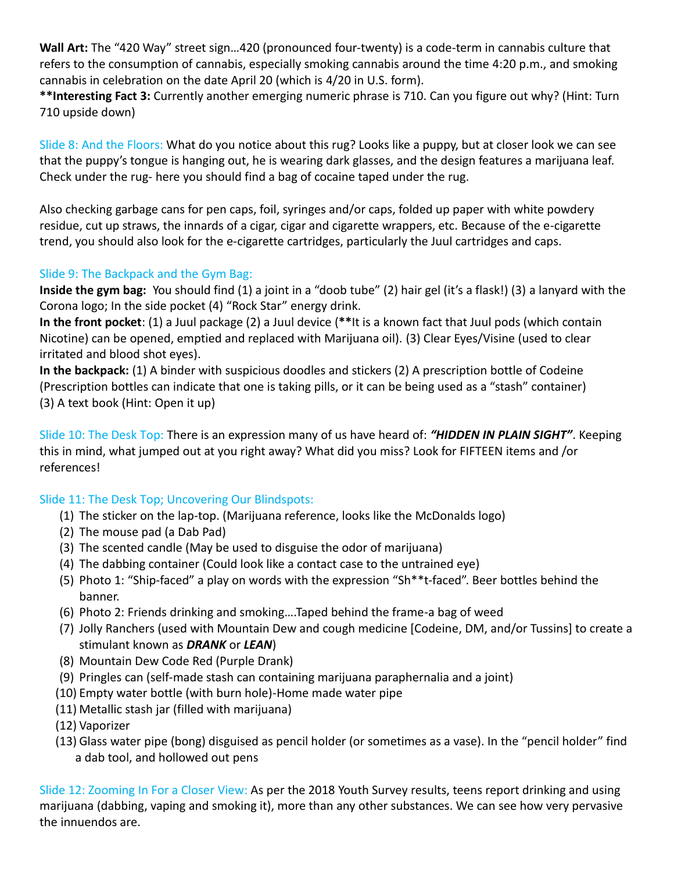**Wall Art:** The "420 Way" street sign…420 (pronounced four-twenty) is a code-term in cannabis culture that refers to the consumption of cannabis, especially smoking cannabis around the time 4:20 p.m., and smoking cannabis in celebration on the date April 20 (which is 4/20 in U.S. form).

**\*\*Interesting Fact 3:** Currently another emerging numeric phrase is 710. Can you figure out why? (Hint: Turn 710 upside down)

Slide 8: And the Floors: What do you notice about this rug? Looks like a puppy, but at closer look we can see that the puppy's tongue is hanging out, he is wearing dark glasses, and the design features a marijuana leaf. Check under the rug- here you should find a bag of cocaine taped under the rug.

Also checking garbage cans for pen caps, foil, syringes and/or caps, folded up paper with white powdery residue, cut up straws, the innards of a cigar, cigar and cigarette wrappers, etc. Because of the e-cigarette trend, you should also look for the e-cigarette cartridges, particularly the Juul cartridges and caps.

## Slide 9: The Backpack and the Gym Bag:

**Inside the gym bag:** You should find (1) a joint in a "doob tube" (2) hair gel (it's a flask!) (3) a lanyard with the Corona logo; In the side pocket (4) "Rock Star" energy drink.

**In the front pocket**: (1) a Juul package (2) a Juul device (**\*\***It is a known fact that Juul pods (which contain Nicotine) can be opened, emptied and replaced with Marijuana oil). (3) Clear Eyes/Visine (used to clear irritated and blood shot eyes).

**In the backpack:** (1) A binder with suspicious doodles and stickers (2) A prescription bottle of Codeine (Prescription bottles can indicate that one is taking pills, or it can be being used as a "stash" container) (3) A text book (Hint: Open it up)

Slide 10: The Desk Top: There is an expression many of us have heard of: *"HIDDEN IN PLAIN SIGHT"*. Keeping this in mind, what jumped out at you right away? What did you miss? Look for FIFTEEN items and /or references!

# Slide 11: The Desk Top; Uncovering Our Blindspots:

- (1) The sticker on the lap-top. (Marijuana reference, looks like the McDonalds logo)
- (2) The mouse pad (a Dab Pad)
- (3) The scented candle (May be used to disguise the odor of marijuana)
- (4) The dabbing container (Could look like a contact case to the untrained eye)
- (5) Photo 1: "Ship-faced" a play on words with the expression "Sh\*\*t-faced". Beer bottles behind the banner.
- (6) Photo 2: Friends drinking and smoking….Taped behind the frame-a bag of weed
- (7) Jolly Ranchers (used with Mountain Dew and cough medicine [Codeine, DM, and/or Tussins] to create a stimulant known as *DRANK* or *LEAN*)
- (8) Mountain Dew Code Red (Purple Drank)
- (9) Pringles can (self-made stash can containing marijuana paraphernalia and a joint)
- (10) Empty water bottle (with burn hole)-Home made water pipe
- (11) Metallic stash jar (filled with marijuana)
- (12) Vaporizer
- (13) Glass water pipe (bong) disguised as pencil holder (or sometimes as a vase). In the "pencil holder" find a dab tool, and hollowed out pens

Slide 12: Zooming In For a Closer View: As per the 2018 Youth Survey results, teens report drinking and using marijuana (dabbing, vaping and smoking it), more than any other substances. We can see how very pervasive the innuendos are.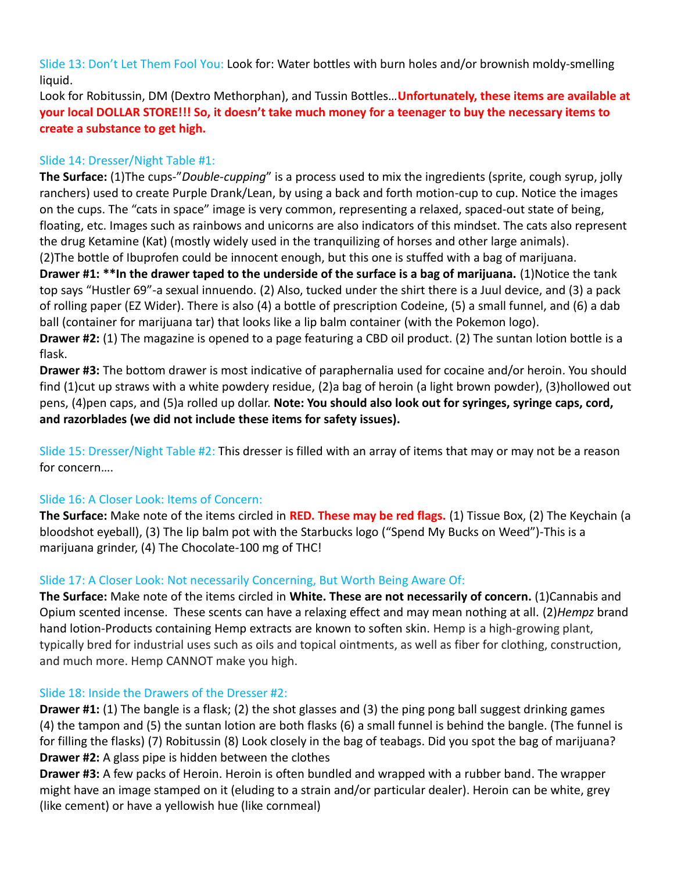Slide 13: Don't Let Them Fool You: Look for: Water bottles with burn holes and/or brownish moldy-smelling liquid.

Look for Robitussin, DM (Dextro Methorphan), and Tussin Bottles…**Unfortunately, these items are available at your local DOLLAR STORE!!! So, it doesn't take much money for a teenager to buy the necessary items to create a substance to get high.**

## Slide 14: Dresser/Night Table #1:

**The Surface:** (1)The cups-"*Double-cupping*" is a process used to mix the ingredients (sprite, cough syrup, jolly ranchers) used to create Purple Drank/Lean, by using a back and forth motion-cup to cup. Notice the images on the cups. The "cats in space" image is very common, representing a relaxed, spaced-out state of being, floating, etc. Images such as rainbows and unicorns are also indicators of this mindset. The cats also represent the drug Ketamine (Kat) (mostly widely used in the tranquilizing of horses and other large animals).

(2)The bottle of Ibuprofen could be innocent enough, but this one is stuffed with a bag of marijuana. **Drawer #1: \*\*In the drawer taped to the underside of the surface is a bag of marijuana. (1)Notice the tank** top says "Hustler 69"-a sexual innuendo. (2) Also, tucked under the shirt there is a Juul device, and (3) a pack of rolling paper (EZ Wider). There is also (4) a bottle of prescription Codeine, (5) a small funnel, and (6) a dab ball (container for marijuana tar) that looks like a lip balm container (with the Pokemon logo).

**Drawer #2:** (1) The magazine is opened to a page featuring a CBD oil product. (2) The suntan lotion bottle is a flask.

**Drawer #3:** The bottom drawer is most indicative of paraphernalia used for cocaine and/or heroin. You should find (1)cut up straws with a white powdery residue, (2)a bag of heroin (a light brown powder), (3)hollowed out pens, (4)pen caps, and (5)a rolled up dollar. **Note: You should also look out for syringes, syringe caps, cord, and razorblades (we did not include these items for safety issues).**

Slide 15: Dresser/Night Table #2: This dresser is filled with an array of items that may or may not be a reason for concern….

# Slide 16: A Closer Look: Items of Concern:

**The Surface:** Make note of the items circled in **RED. These may be red flags.** (1) Tissue Box, (2) The Keychain (a bloodshot eyeball), (3) The lip balm pot with the Starbucks logo ("Spend My Bucks on Weed")-This is a marijuana grinder, (4) The Chocolate-100 mg of THC!

## Slide 17: A Closer Look: Not necessarily Concerning, But Worth Being Aware Of:

**The Surface:** Make note of the items circled in **White. These are not necessarily of concern.** (1)Cannabis and Opium scented incense. These scents can have a relaxing effect and may mean nothing at all. (2)*Hempz* brand hand lotion-Products containing Hemp extracts are known to soften skin. Hemp is a high-growing plant, typically bred for industrial uses such as oils and topical ointments, as well as fiber for clothing, construction, and much more. Hemp CANNOT make you high.

## Slide 18: Inside the Drawers of the Dresser #2:

**Drawer #1:** (1) The bangle is a flask; (2) the shot glasses and (3) the ping pong ball suggest drinking games (4) the tampon and (5) the suntan lotion are both flasks (6) a small funnel is behind the bangle. (The funnel is for filling the flasks) (7) Robitussin (8) Look closely in the bag of teabags. Did you spot the bag of marijuana? **Drawer #2:** A glass pipe is hidden between the clothes

**Drawer #3:** A few packs of Heroin. Heroin is often bundled and wrapped with a rubber band. The wrapper might have an image stamped on it (eluding to a strain and/or particular dealer). Heroin can be white, grey (like cement) or have a yellowish hue (like cornmeal)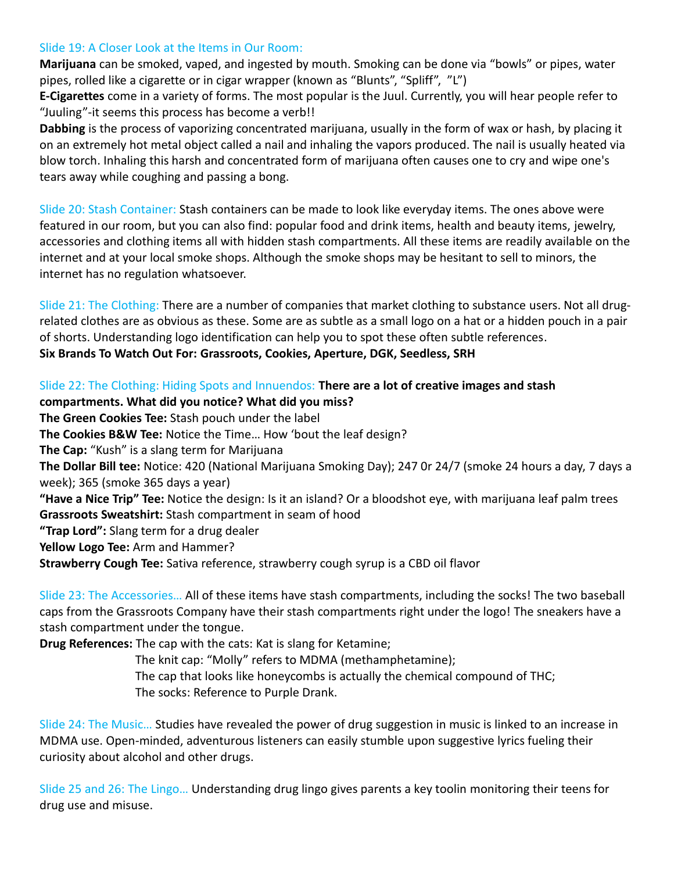#### Slide 19: A Closer Look at the Items in Our Room:

**Marijuana** can be smoked, vaped, and ingested by mouth. Smoking can be done via "bowls" or pipes, water pipes, rolled like a cigarette or in cigar wrapper (known as "Blunts", "Spliff", "L")

**E-Cigarettes** come in a variety of forms. The most popular is the Juul. Currently, you will hear people refer to "Juuling"-it seems this process has become a verb!!

**Dabbing** is the process of vaporizing concentrated marijuana, usually in the form of wax or hash, by placing it on an extremely hot metal object called a nail and inhaling the vapors produced. The nail is usually heated via blow torch. Inhaling this harsh and concentrated form of marijuana often causes one to cry and wipe one's tears away while coughing and passing a bong.

Slide 20: Stash Container: Stash containers can be made to look like everyday items. The ones above were featured in our room, but you can also find: popular food and drink items, health and beauty items, jewelry, accessories and clothing items all with hidden stash compartments. All these items are readily available on the internet and at your local smoke shops. Although the smoke shops may be hesitant to sell to minors, the internet has no regulation whatsoever.

Slide 21: The Clothing: There are a number of companies that market clothing to substance users. Not all drugrelated clothes are as obvious as these. Some are as subtle as a small logo on a hat or a hidden pouch in a pair of shorts. Understanding logo identification can help you to spot these often subtle references. **Six Brands To Watch Out For: Grassroots, Cookies, Aperture, DGK, Seedless, SRH**

## Slide 22: The Clothing: Hiding Spots and Innuendos: **There are a lot of creative images and stash**

**compartments. What did you notice? What did you miss? The Green Cookies Tee:** Stash pouch under the label **The Cookies B&W Tee:** Notice the Time… How 'bout the leaf design? **The Cap:** "Kush" is a slang term for Marijuana **The Dollar Bill tee:** Notice: 420 (National Marijuana Smoking Day); 247 0r 24/7 (smoke 24 hours a day, 7 days a week); 365 (smoke 365 days a year) **"Have a Nice Trip" Tee:** Notice the design: Is it an island? Or a bloodshot eye, with marijuana leaf palm trees **Grassroots Sweatshirt:** Stash compartment in seam of hood **"Trap Lord":** Slang term for a drug dealer **Yellow Logo Tee:** Arm and Hammer? **Strawberry Cough Tee:** Sativa reference, strawberry cough syrup is a CBD oil flavor

Slide 23: The Accessories… All of these items have stash compartments, including the socks! The two baseball caps from the Grassroots Company have their stash compartments right under the logo! The sneakers have a stash compartment under the tongue.

**Drug References:** The cap with the cats: Kat is slang for Ketamine;

 The knit cap: "Molly" refers to MDMA (methamphetamine); The cap that looks like honeycombs is actually the chemical compound of THC; The socks: Reference to Purple Drank.

Slide 24: The Music... Studies have revealed the power of drug suggestion in music is linked to an increase in MDMA use. Open-minded, adventurous listeners can easily stumble upon suggestive lyrics fueling their curiosity about alcohol and other drugs.

Slide 25 and 26: The Lingo… Understanding drug lingo gives parents a key toolin monitoring their teens for drug use and misuse.